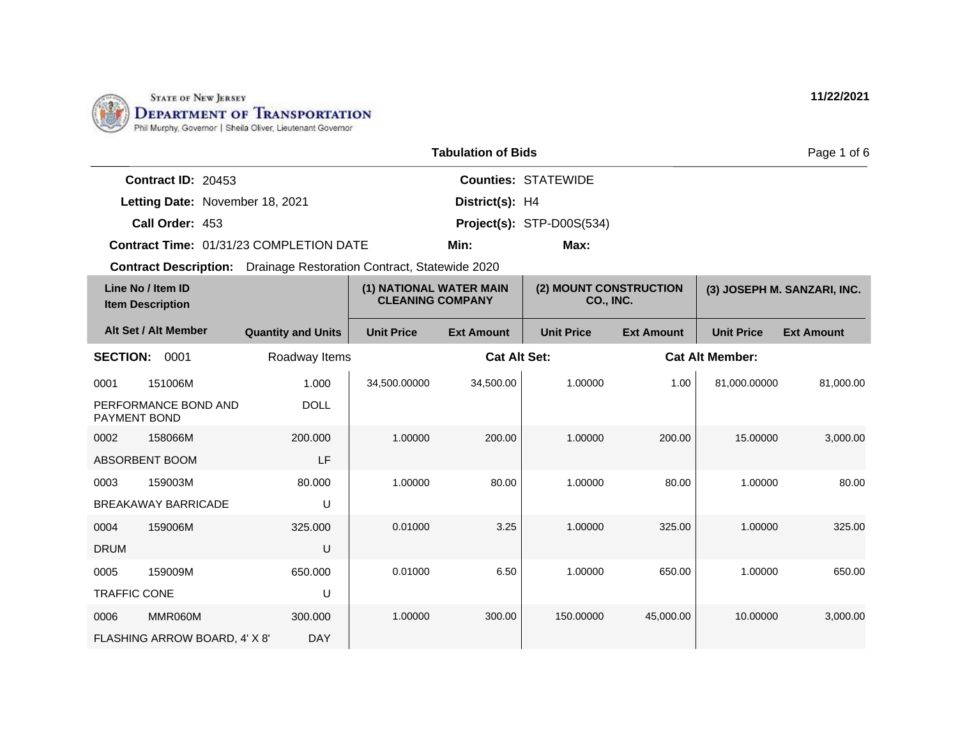

|                      |                                                | <b>Tabulation of Bids</b> |                            | Page 1 of 6 |
|----------------------|------------------------------------------------|---------------------------|----------------------------|-------------|
| Contract ID: $20453$ |                                                |                           | <b>Counties: STATEWIDE</b> |             |
|                      | Letting Date: November 18, 2021                | District(s): H4           |                            |             |
| Call Order: 453      |                                                |                           | Project(s): STP-D00S(534)  |             |
|                      | <b>Contract Time: 01/31/23 COMPLETION DATE</b> | Min:                      | Max:                       |             |

| Line No / Item ID<br><b>Item Description</b> |                               | (1) NATIONAL WATER MAIN<br><b>CLEANING COMPANY</b> |                   | (2) MOUNT CONSTRUCTION<br>CO., INC. |                   | (3) JOSEPH M. SANZARI, INC. |                        |                   |
|----------------------------------------------|-------------------------------|----------------------------------------------------|-------------------|-------------------------------------|-------------------|-----------------------------|------------------------|-------------------|
|                                              | Alt Set / Alt Member          | <b>Quantity and Units</b>                          | <b>Unit Price</b> | <b>Ext Amount</b>                   | <b>Unit Price</b> | <b>Ext Amount</b>           | <b>Unit Price</b>      | <b>Ext Amount</b> |
| <b>SECTION:</b>                              | 0001                          | Roadway Items                                      |                   | <b>Cat Alt Set:</b>                 |                   |                             | <b>Cat Alt Member:</b> |                   |
| 0001                                         | 151006M                       | 1.000                                              | 34,500.00000      | 34,500.00                           | 1.00000           | 1.00                        | 81.000.00000           | 81,000.00         |
| <b>PAYMENT BOND</b>                          | PERFORMANCE BOND AND          | <b>DOLL</b>                                        |                   |                                     |                   |                             |                        |                   |
| 0002                                         | 158066M                       | 200.000                                            | 1.00000           | 200.00                              | 1.00000           | 200.00                      | 15.00000               | 3,000.00          |
|                                              | ABSORBENT BOOM                | LF                                                 |                   |                                     |                   |                             |                        |                   |
| 0003                                         | 159003M                       | 80.000                                             | 1.00000           | 80.00                               | 1.00000           | 80.00                       | 1.00000                | 80.00             |
|                                              | <b>BREAKAWAY BARRICADE</b>    | U                                                  |                   |                                     |                   |                             |                        |                   |
| 0004                                         | 159006M                       | 325,000                                            | 0.01000           | 3.25                                | 1.00000           | 325.00                      | 1.00000                | 325.00            |
| <b>DRUM</b>                                  |                               | U                                                  |                   |                                     |                   |                             |                        |                   |
| 0005                                         | 159009M                       | 650,000                                            | 0.01000           | 6.50                                | 1.00000           | 650.00                      | 1.00000                | 650.00            |
| <b>TRAFFIC CONE</b>                          |                               | U                                                  |                   |                                     |                   |                             |                        |                   |
| 0006                                         | MMR060M                       | 300,000                                            | 1.00000           | 300.00                              | 150.00000         | 45,000.00                   | 10.00000               | 3,000.00          |
|                                              | FLASHING ARROW BOARD, 4' X 8' | <b>DAY</b>                                         |                   |                                     |                   |                             |                        |                   |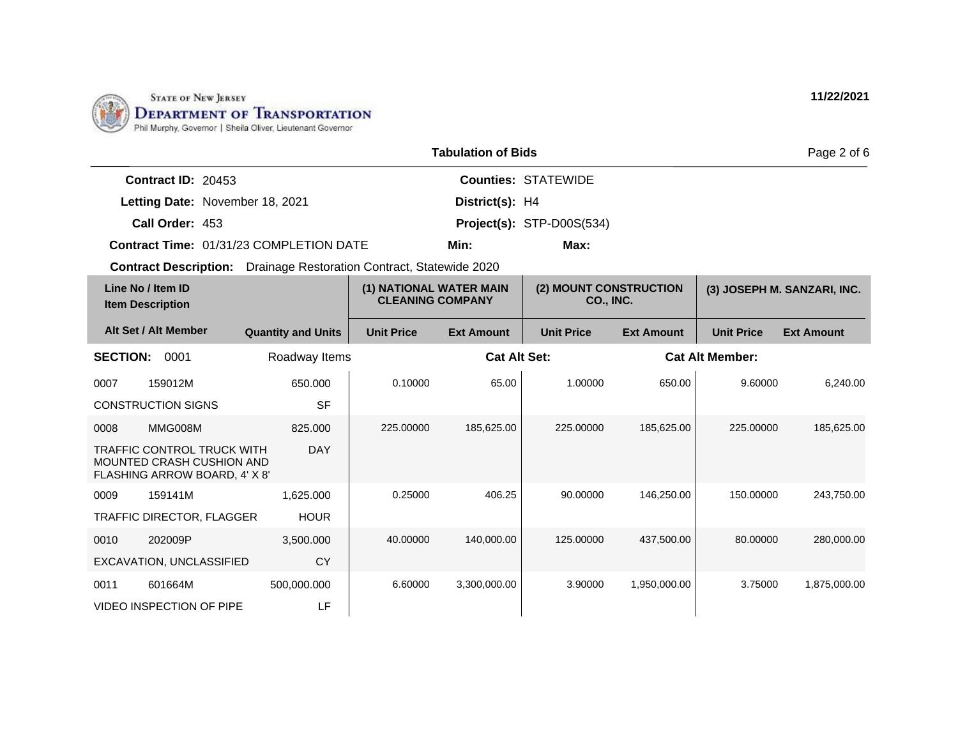

|                           |                                         | <b>Tabulation of Bids</b> |                            | Page 2 of 6 |
|---------------------------|-----------------------------------------|---------------------------|----------------------------|-------------|
| <b>Contract ID: 20453</b> |                                         |                           | <b>Counties: STATEWIDE</b> |             |
|                           | Letting Date: November 18, 2021         | District(s): H4           |                            |             |
| Call Order: 453           |                                         |                           | Project(s): STP-D00S(534)  |             |
|                           | Contract Time: 01/31/23 COMPLETION DATE | Min:                      | Max:                       |             |

|                 | Line No / Item ID<br><b>Item Description</b>                                                    |                           | (1) NATIONAL WATER MAIN<br><b>CLEANING COMPANY</b> |                     | (2) MOUNT CONSTRUCTION<br><b>CO., INC.</b> |                   |                        | (3) JOSEPH M. SANZARI, INC. |
|-----------------|-------------------------------------------------------------------------------------------------|---------------------------|----------------------------------------------------|---------------------|--------------------------------------------|-------------------|------------------------|-----------------------------|
|                 | Alt Set / Alt Member                                                                            | <b>Quantity and Units</b> | <b>Unit Price</b>                                  | <b>Ext Amount</b>   | <b>Unit Price</b>                          | <b>Ext Amount</b> | <b>Unit Price</b>      | <b>Ext Amount</b>           |
| <b>SECTION:</b> | 0001                                                                                            | Roadway Items             |                                                    | <b>Cat Alt Set:</b> |                                            |                   | <b>Cat Alt Member:</b> |                             |
| 0007            | 159012M                                                                                         | 650.000                   | 0.10000                                            | 65.00               | 1.00000                                    | 650.00            | 9.60000                | 6,240.00                    |
|                 | <b>CONSTRUCTION SIGNS</b>                                                                       | <b>SF</b>                 |                                                    |                     |                                            |                   |                        |                             |
| 0008            | MMG008M                                                                                         | 825,000                   | 225,00000                                          | 185,625.00          | 225,00000                                  | 185,625.00        | 225,00000              | 185,625.00                  |
|                 | <b>TRAFFIC CONTROL TRUCK WITH</b><br>MOUNTED CRASH CUSHION AND<br>FLASHING ARROW BOARD, 4' X 8' | <b>DAY</b>                |                                                    |                     |                                            |                   |                        |                             |
| 0009            | 159141M                                                                                         | 1,625.000                 | 0.25000                                            | 406.25              | 90.00000                                   | 146,250.00        | 150.00000              | 243,750.00                  |
|                 | TRAFFIC DIRECTOR, FLAGGER                                                                       | <b>HOUR</b>               |                                                    |                     |                                            |                   |                        |                             |
| 0010            | 202009P                                                                                         | 3,500.000                 | 40.00000                                           | 140,000.00          | 125.00000                                  | 437,500.00        | 80.00000               | 280,000.00                  |
|                 | EXCAVATION, UNCLASSIFIED                                                                        | CY                        |                                                    |                     |                                            |                   |                        |                             |
| 0011            | 601664M                                                                                         | 500,000.000               | 6.60000                                            | 3,300,000.00        | 3.90000                                    | 1,950,000.00      | 3.75000                | 1,875,000.00                |
|                 | <b>VIDEO INSPECTION OF PIPE</b>                                                                 | LF                        |                                                    |                     |                                            |                   |                        |                             |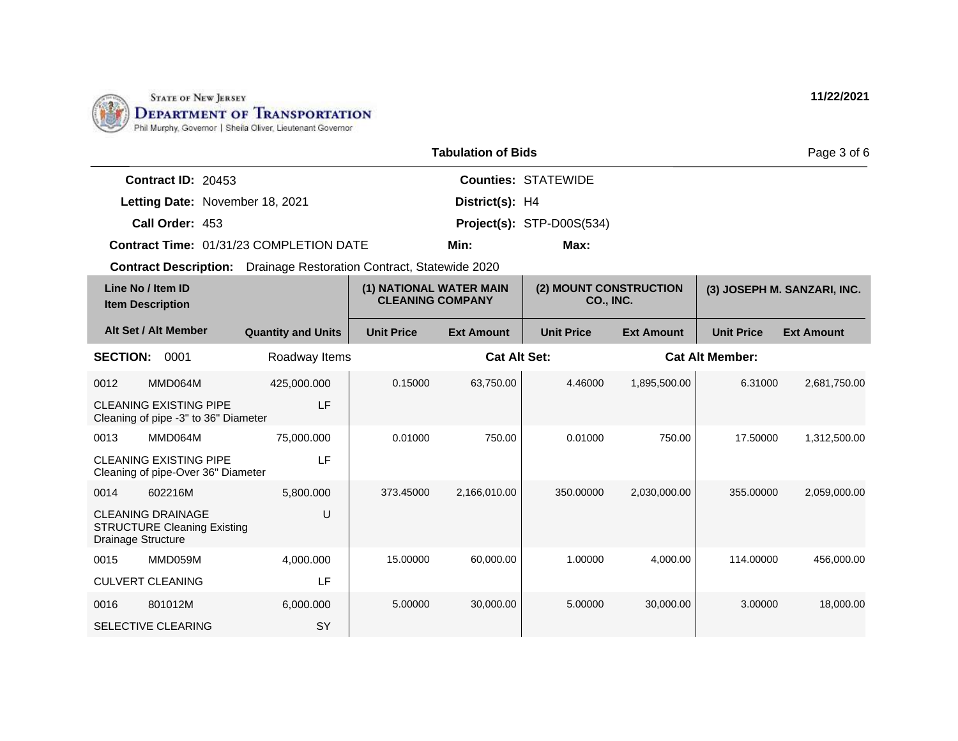

|                           |                                         | <b>Tabulation of Bids</b> |                            | Page |
|---------------------------|-----------------------------------------|---------------------------|----------------------------|------|
| <b>Contract ID: 20453</b> |                                         |                           | <b>Counties: STATEWIDE</b> |      |
|                           | Letting Date: November 18, 2021         | District(s): H4           |                            |      |
| Call Order: 453           |                                         |                           | Project(s): STP-D00S(534)  |      |
|                           | Contract Time: 01/31/23 COMPLETION DATE | Min:                      | Max:                       |      |

|                    | Line No / Item ID<br><b>Item Description</b>                          |                           | (1) NATIONAL WATER MAIN<br><b>CLEANING COMPANY</b> |                     | (2) MOUNT CONSTRUCTION<br>CO., INC. |                   |                        | (3) JOSEPH M. SANZARI, INC. |
|--------------------|-----------------------------------------------------------------------|---------------------------|----------------------------------------------------|---------------------|-------------------------------------|-------------------|------------------------|-----------------------------|
|                    | Alt Set / Alt Member                                                  | <b>Quantity and Units</b> | <b>Unit Price</b>                                  | <b>Ext Amount</b>   | <b>Unit Price</b>                   | <b>Ext Amount</b> | <b>Unit Price</b>      | <b>Ext Amount</b>           |
| <b>SECTION:</b>    | 0001                                                                  | Roadway Items             |                                                    | <b>Cat Alt Set:</b> |                                     |                   | <b>Cat Alt Member:</b> |                             |
| 0012               | MMD064M                                                               | 425,000.000               | 0.15000                                            | 63,750.00           | 4.46000                             | 1,895,500.00      | 6.31000                | 2,681,750.00                |
|                    | <b>CLEANING EXISTING PIPE</b><br>Cleaning of pipe -3" to 36" Diameter | LF                        |                                                    |                     |                                     |                   |                        |                             |
| 0013               | MMD064M                                                               | 75,000.000                | 0.01000                                            | 750.00              | 0.01000                             | 750.00            | 17.50000               | 1,312,500.00                |
|                    | <b>CLEANING EXISTING PIPE</b><br>Cleaning of pipe-Over 36" Diameter   | LF                        |                                                    |                     |                                     |                   |                        |                             |
| 0014               | 602216M                                                               | 5,800.000                 | 373.45000                                          | 2,166,010.00        | 350,00000                           | 2,030,000.00      | 355,00000              | 2,059,000.00                |
| Drainage Structure | <b>CLEANING DRAINAGE</b><br><b>STRUCTURE Cleaning Existing</b>        | U                         |                                                    |                     |                                     |                   |                        |                             |
| 0015               | MMD059M                                                               | 4,000.000                 | 15.00000                                           | 60.000.00           | 1.00000                             | 4.000.00          | 114.00000              | 456.000.00                  |
|                    | <b>CULVERT CLEANING</b>                                               | LF                        |                                                    |                     |                                     |                   |                        |                             |
| 0016               | 801012M                                                               | 6,000.000                 | 5.00000                                            | 30,000.00           | 5.00000                             | 30,000.00         | 3.00000                | 18,000.00                   |
|                    | <b>SELECTIVE CLEARING</b>                                             | SY                        |                                                    |                     |                                     |                   |                        |                             |

**11/22/2021**

3 of 6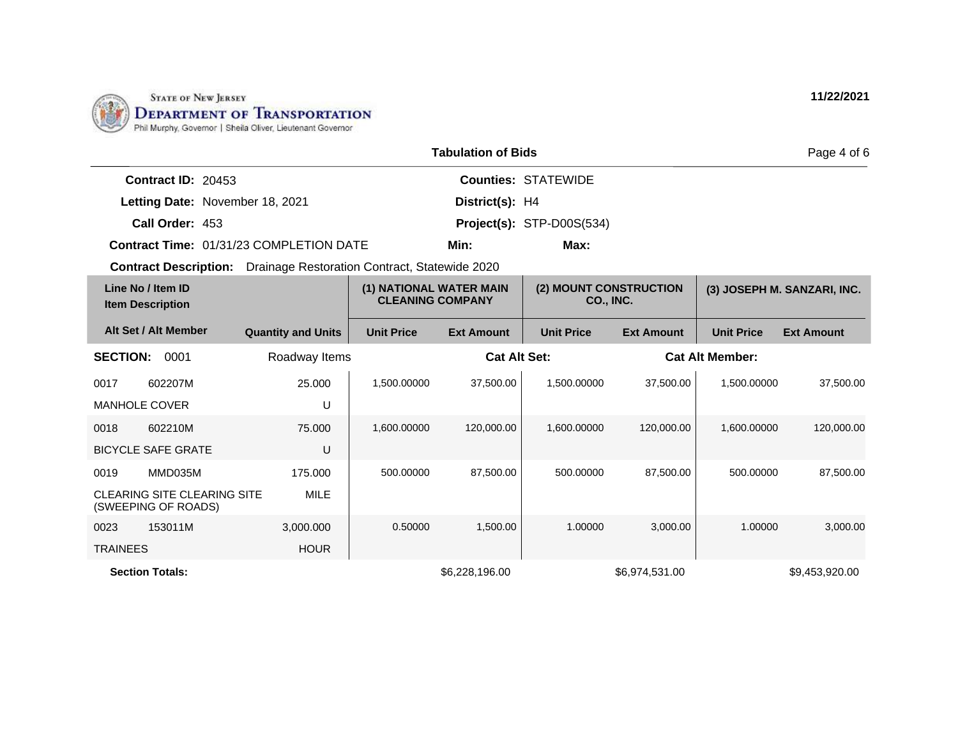

|                      |                                                | <b>Tabulation of Bids</b> |                                     | Page 4 of 6 |
|----------------------|------------------------------------------------|---------------------------|-------------------------------------|-------------|
| Contract $ID: 20453$ |                                                |                           | <b>Counties: STATEWIDE</b>          |             |
|                      | Letting Date: November 18, 2021                | District(s): H4           |                                     |             |
| Call Order: 453      |                                                |                           | <b>Project(s):</b> STP-D00S $(534)$ |             |
|                      | <b>Contract Time: 01/31/23 COMPLETION DATE</b> | Min:                      | Max:                                |             |

| Line No / Item ID<br><b>Item Description</b> |                                                           | (1) NATIONAL WATER MAIN<br><b>CLEANING COMPANY</b> |                   | (2) MOUNT CONSTRUCTION<br>CO., INC. |                   | (3) JOSEPH M. SANZARI, INC. |                        |                   |
|----------------------------------------------|-----------------------------------------------------------|----------------------------------------------------|-------------------|-------------------------------------|-------------------|-----------------------------|------------------------|-------------------|
|                                              | Alt Set / Alt Member                                      | <b>Quantity and Units</b>                          | <b>Unit Price</b> | <b>Ext Amount</b>                   | <b>Unit Price</b> | <b>Ext Amount</b>           | <b>Unit Price</b>      | <b>Ext Amount</b> |
| <b>SECTION:</b>                              | 0001                                                      | Roadway Items                                      |                   | <b>Cat Alt Set:</b>                 |                   |                             | <b>Cat Alt Member:</b> |                   |
| 0017                                         | 602207M                                                   | 25,000                                             | 1,500.00000       | 37,500.00                           | 1,500.00000       | 37,500.00                   | 1,500.00000            | 37,500.00         |
|                                              | <b>MANHOLE COVER</b>                                      | U                                                  |                   |                                     |                   |                             |                        |                   |
| 0018                                         | 602210M                                                   | 75.000                                             | 1,600.00000       | 120,000.00                          | 1,600.00000       | 120,000.00                  | 1,600.00000            | 120,000.00        |
|                                              | <b>BICYCLE SAFE GRATE</b>                                 | U                                                  |                   |                                     |                   |                             |                        |                   |
| 0019                                         | MMD035M                                                   | 175.000                                            | 500.00000         | 87,500.00                           | 500.00000         | 87,500.00                   | 500.00000              | 87,500.00         |
|                                              | <b>CLEARING SITE CLEARING SITE</b><br>(SWEEPING OF ROADS) | MILE                                               |                   |                                     |                   |                             |                        |                   |
| 0023                                         | 153011M                                                   | 3,000.000                                          | 0.50000           | 1,500.00                            | 1.00000           | 3,000.00                    | 1.00000                | 3,000.00          |
| <b>TRAINEES</b>                              |                                                           | <b>HOUR</b>                                        |                   |                                     |                   |                             |                        |                   |
|                                              | <b>Section Totals:</b>                                    |                                                    |                   | \$6,228,196.00                      |                   | \$6,974,531.00              |                        | \$9,453,920.00    |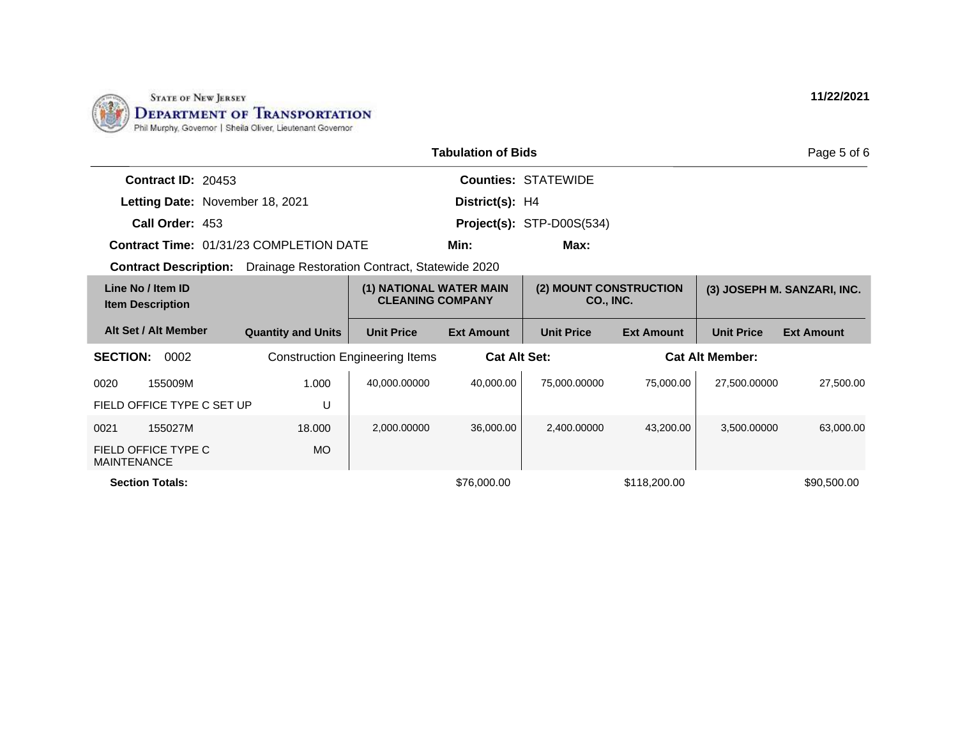

|                                                                            |                           |                                                    | <b>Tabulation of Bids</b> |                                     |                   |                        | Page 5 of 6                 |
|----------------------------------------------------------------------------|---------------------------|----------------------------------------------------|---------------------------|-------------------------------------|-------------------|------------------------|-----------------------------|
| Contract ID: 20453                                                         |                           |                                                    |                           | <b>Counties: STATEWIDE</b>          |                   |                        |                             |
| Letting Date: November 18, 2021                                            |                           |                                                    | District(s): H4           |                                     |                   |                        |                             |
| Call Order: 453                                                            |                           |                                                    |                           | $Project(s):$ STP-D00S $(534)$      |                   |                        |                             |
| <b>Contract Time: 01/31/23 COMPLETION DATE</b>                             |                           |                                                    | Min:                      | Max:                                |                   |                        |                             |
| <b>Contract Description:</b> Drainage Restoration Contract, Statewide 2020 |                           |                                                    |                           |                                     |                   |                        |                             |
| Line No / Item ID<br><b>Item Description</b>                               |                           | (1) NATIONAL WATER MAIN<br><b>CLEANING COMPANY</b> |                           | (2) MOUNT CONSTRUCTION<br>CO., INC. |                   |                        | (3) JOSEPH M. SANZARI, INC. |
| Alt Set / Alt Member                                                       | <b>Quantity and Units</b> | <b>Unit Price</b>                                  | <b>Ext Amount</b>         | <b>Unit Price</b>                   | <b>Ext Amount</b> | <b>Unit Price</b>      | <b>Ext Amount</b>           |
| <b>SECTION:</b><br>0002                                                    |                           | <b>Construction Engineering Items</b>              | <b>Cat Alt Set:</b>       |                                     |                   | <b>Cat Alt Member:</b> |                             |
| 0020<br>155009M                                                            | 1.000                     | 40,000.00000                                       | 40,000.00                 | 75,000.00000                        | 75,000.00         | 27,500.00000           | 27,500.00                   |
| FIELD OFFICE TYPE C SET UP                                                 | U                         |                                                    |                           |                                     |                   |                        |                             |
| 0021<br>155027M                                                            | 18.000                    | 2,000.00000                                        | 36,000.00                 | 2,400.00000                         | 43,200.00         | 3,500.00000            | 63,000.00                   |
| FIELD OFFICE TYPE C<br><b>MAINTENANCE</b>                                  | <b>MO</b>                 |                                                    |                           |                                     |                   |                        |                             |
| <b>Section Totals:</b>                                                     |                           |                                                    | \$76,000.00               |                                     | \$118,200.00      |                        | \$90,500,00                 |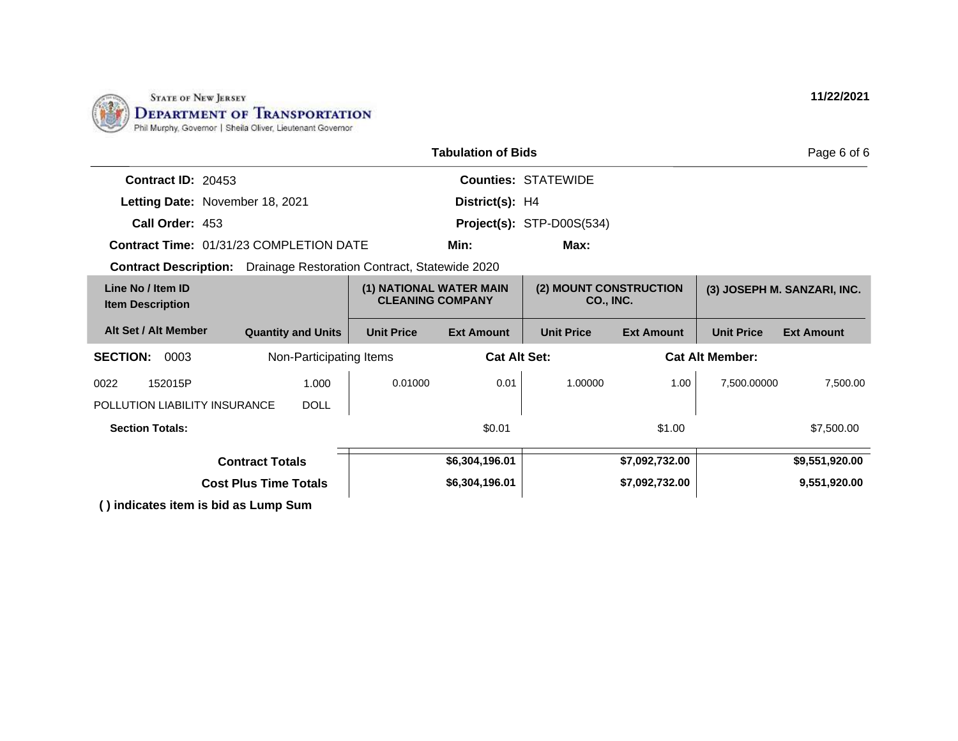

|                                                                            |                              |                                                    | <b>Tabulation of Bids</b> |                                     |                   |                        | Page 6 of 6                 |
|----------------------------------------------------------------------------|------------------------------|----------------------------------------------------|---------------------------|-------------------------------------|-------------------|------------------------|-----------------------------|
| Contract ID: 20453                                                         |                              |                                                    |                           | <b>Counties: STATEWIDE</b>          |                   |                        |                             |
| Letting Date: November 18, 2021                                            |                              |                                                    | District(s): H4           |                                     |                   |                        |                             |
| Call Order: 453                                                            |                              |                                                    |                           | Project(s): STP-D00S(534)           |                   |                        |                             |
| <b>Contract Time: 01/31/23 COMPLETION DATE</b>                             |                              |                                                    | Min:                      | Max:                                |                   |                        |                             |
| <b>Contract Description:</b> Drainage Restoration Contract, Statewide 2020 |                              |                                                    |                           |                                     |                   |                        |                             |
| Line No / Item ID<br><b>Item Description</b>                               |                              | (1) NATIONAL WATER MAIN<br><b>CLEANING COMPANY</b> |                           | (2) MOUNT CONSTRUCTION<br>CO., INC. |                   |                        | (3) JOSEPH M. SANZARI, INC. |
| Alt Set / Alt Member                                                       | <b>Quantity and Units</b>    | <b>Unit Price</b>                                  | <b>Ext Amount</b>         | <b>Unit Price</b>                   | <b>Ext Amount</b> | <b>Unit Price</b>      | <b>Ext Amount</b>           |
| <b>SECTION:</b><br>0003                                                    | Non-Participating Items      |                                                    | <b>Cat Alt Set:</b>       |                                     |                   | <b>Cat Alt Member:</b> |                             |
| 152015P<br>0022                                                            | 1.000                        | 0.01000                                            | 0.01                      | 1.00000                             | 1.00              | 7.500.00000            | 7,500.00                    |
| POLLUTION LIABILITY INSURANCE                                              | <b>DOLL</b>                  |                                                    |                           |                                     |                   |                        |                             |
| <b>Section Totals:</b>                                                     |                              |                                                    | \$0.01                    |                                     | \$1.00            |                        | \$7,500.00                  |
|                                                                            | <b>Contract Totals</b>       |                                                    | \$6,304,196.01            |                                     | \$7,092,732.00    |                        | \$9,551,920.00              |
|                                                                            | <b>Cost Plus Time Totals</b> |                                                    | \$6,304,196.01            |                                     | \$7,092,732.00    |                        | 9,551,920.00                |
| $\left( \right)$ indicates item is hid as Lump Cum                         |                              |                                                    |                           |                                     |                   |                        |                             |

**( ) indicates item is bid as Lump Sum**